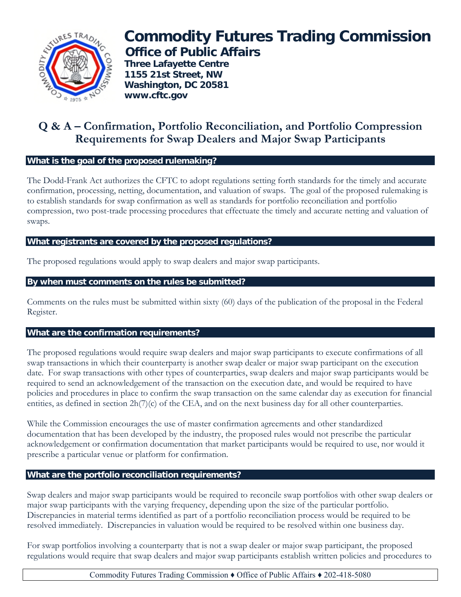

# **Commodity Futures Trading Commission Office of Public Affairs**

 **Three Lafayette Centre 1155 21st Street, NW Washington, DC 20581 www.cftc.gov**

## **Q & A – Confirmation, Portfolio Reconciliation, and Portfolio Compression Requirements for Swap Dealers and Major Swap Participants**

#### **What is the goal of the proposed rulemaking?**

The Dodd-Frank Act authorizes the CFTC to adopt regulations setting forth standards for the timely and accurate confirmation, processing, netting, documentation, and valuation of swaps. The goal of the proposed rulemaking is to establish standards for swap confirmation as well as standards for portfolio reconciliation and portfolio compression, two post-trade processing procedures that effectuate the timely and accurate netting and valuation of swaps.

#### **What registrants are covered by the proposed regulations?**

The proposed regulations would apply to swap dealers and major swap participants.

### **By when must comments on the rules be submitted?**

Comments on the rules must be submitted within sixty (60) days of the publication of the proposal in the Federal Register.

### **What are the confirmation requirements?**

The proposed regulations would require swap dealers and major swap participants to execute confirmations of all swap transactions in which their counterparty is another swap dealer or major swap participant on the execution date. For swap transactions with other types of counterparties, swap dealers and major swap participants would be required to send an acknowledgement of the transaction on the execution date, and would be required to have policies and procedures in place to confirm the swap transaction on the same calendar day as execution for financial entities, as defined in section  $2h(7)(c)$  of the CEA, and on the next business day for all other counterparties.

While the Commission encourages the use of master confirmation agreements and other standardized documentation that has been developed by the industry, the proposed rules would not prescribe the particular acknowledgement or confirmation documentation that market participants would be required to use, nor would it prescribe a particular venue or platform for confirmation.

### **What are the portfolio reconciliation requirements?**

Swap dealers and major swap participants would be required to reconcile swap portfolios with other swap dealers or major swap participants with the varying frequency, depending upon the size of the particular portfolio. Discrepancies in material terms identified as part of a portfolio reconciliation process would be required to be resolved immediately. Discrepancies in valuation would be required to be resolved within one business day.

For swap portfolios involving a counterparty that is not a swap dealer or major swap participant, the proposed regulations would require that swap dealers and major swap participants establish written policies and procedures to

### Commodity Futures Trading Commission ♦ Office of Public Affairs ♦ 202-418-5080